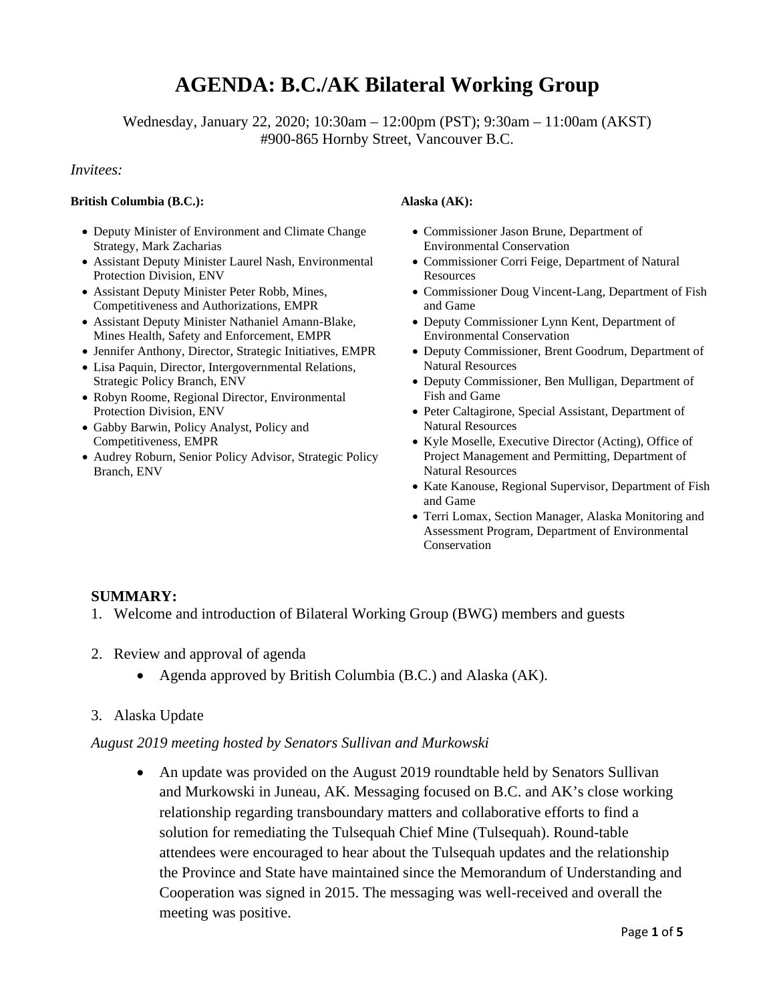# **AGENDA: B.C./AK Bilateral Working Group**

Wednesday, January 22, 2020; 10:30am – 12:00pm (PST); 9:30am – 11:00am (AKST) #900-865 Hornby Street, Vancouver B.C.

#### *Invitees:*

#### **British Columbia (B.C.): Alaska (AK):**

- Deputy Minister of Environment and Climate Change Strategy, Mark Zacharias
- Assistant Deputy Minister Laurel Nash, Environmental Protection Division, ENV
- Assistant Deputy Minister Peter Robb, Mines, Competitiveness and Authorizations, EMPR
- Assistant Deputy Minister Nathaniel Amann-Blake, Mines Health, Safety and Enforcement, EMPR
- Jennifer Anthony, Director, Strategic Initiatives, EMPR
- Lisa Paquin, Director, Intergovernmental Relations, Strategic Policy Branch, ENV
- Robyn Roome, Regional Director, Environmental Protection Division, ENV
- Gabby Barwin, Policy Analyst, Policy and Competitiveness, EMPR
- Audrey Roburn, Senior Policy Advisor, Strategic Policy Branch, ENV

- Commissioner Jason Brune, Department of Environmental Conservation
- Commissioner Corri Feige, Department of Natural Resources
- Commissioner Doug Vincent-Lang, Department of Fish and Game
- Deputy Commissioner Lynn Kent, Department of Environmental Conservation
- Deputy Commissioner, Brent Goodrum, Department of Natural Resources
- Deputy Commissioner, Ben Mulligan, Department of Fish and Game
- Peter Caltagirone, Special Assistant, Department of Natural Resources
- Kyle Moselle, Executive Director (Acting), Office of Project Management and Permitting, Department of Natural Resources
- Kate Kanouse, Regional Supervisor, Department of Fish and Game
- Terri Lomax, Section Manager, Alaska Monitoring and Assessment Program, Department of Environmental Conservation

#### **SUMMARY:**

- 1. Welcome and introduction of Bilateral Working Group (BWG) members and guests
- 2. Review and approval of agenda
	- Agenda approved by British Columbia (B.C.) and Alaska (AK).
- 3. Alaska Update

#### *August 2019 meeting hosted by Senators Sullivan and Murkowski*

• An update was provided on the August 2019 roundtable held by Senators Sullivan and Murkowski in Juneau, AK. Messaging focused on B.C. and AK's close working relationship regarding transboundary matters and collaborative efforts to find a solution for remediating the Tulsequah Chief Mine (Tulsequah). Round-table attendees were encouraged to hear about the Tulsequah updates and the relationship the Province and State have maintained since the Memorandum of Understanding and Cooperation was signed in 2015. The messaging was well-received and overall the meeting was positive.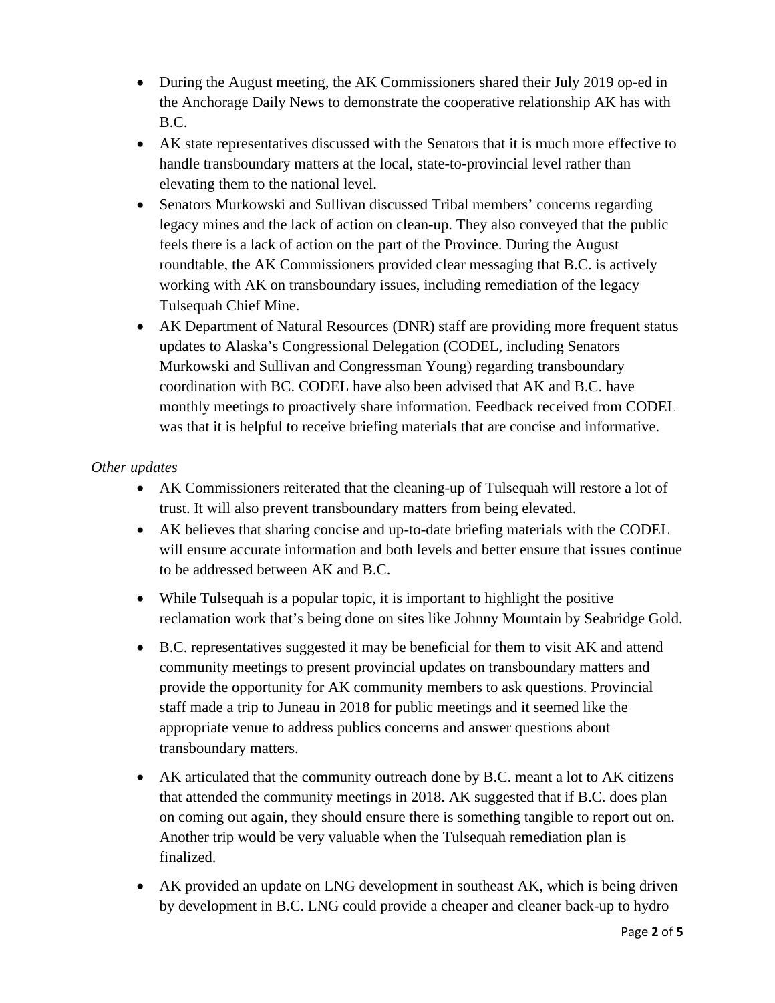- During the August meeting, the AK Commissioners shared their July 2019 op-ed in the Anchorage Daily News to demonstrate the cooperative relationship AK has with B.C.
- AK state representatives discussed with the Senators that it is much more effective to handle transboundary matters at the local, state-to-provincial level rather than elevating them to the national level.
- Senators Murkowski and Sullivan discussed Tribal members' concerns regarding legacy mines and the lack of action on clean-up. They also conveyed that the public feels there is a lack of action on the part of the Province. During the August roundtable, the AK Commissioners provided clear messaging that B.C. is actively working with AK on transboundary issues, including remediation of the legacy Tulsequah Chief Mine.
- AK Department of Natural Resources (DNR) staff are providing more frequent status updates to Alaska's Congressional Delegation (CODEL, including Senators Murkowski and Sullivan and Congressman Young) regarding transboundary coordination with BC. CODEL have also been advised that AK and B.C. have monthly meetings to proactively share information. Feedback received from CODEL was that it is helpful to receive briefing materials that are concise and informative.

## *Other updates*

- AK Commissioners reiterated that the cleaning-up of Tulsequah will restore a lot of trust. It will also prevent transboundary matters from being elevated.
- AK believes that sharing concise and up-to-date briefing materials with the CODEL will ensure accurate information and both levels and better ensure that issues continue to be addressed between AK and B.C.
- While Tulsequah is a popular topic, it is important to highlight the positive reclamation work that's being done on sites like Johnny Mountain by Seabridge Gold.
- B.C. representatives suggested it may be beneficial for them to visit AK and attend community meetings to present provincial updates on transboundary matters and provide the opportunity for AK community members to ask questions. Provincial staff made a trip to Juneau in 2018 for public meetings and it seemed like the appropriate venue to address publics concerns and answer questions about transboundary matters.
- AK articulated that the community outreach done by B.C. meant a lot to AK citizens that attended the community meetings in 2018. AK suggested that if B.C. does plan on coming out again, they should ensure there is something tangible to report out on. Another trip would be very valuable when the Tulsequah remediation plan is finalized.
- AK provided an update on LNG development in southeast AK, which is being driven by development in B.C. LNG could provide a cheaper and cleaner back-up to hydro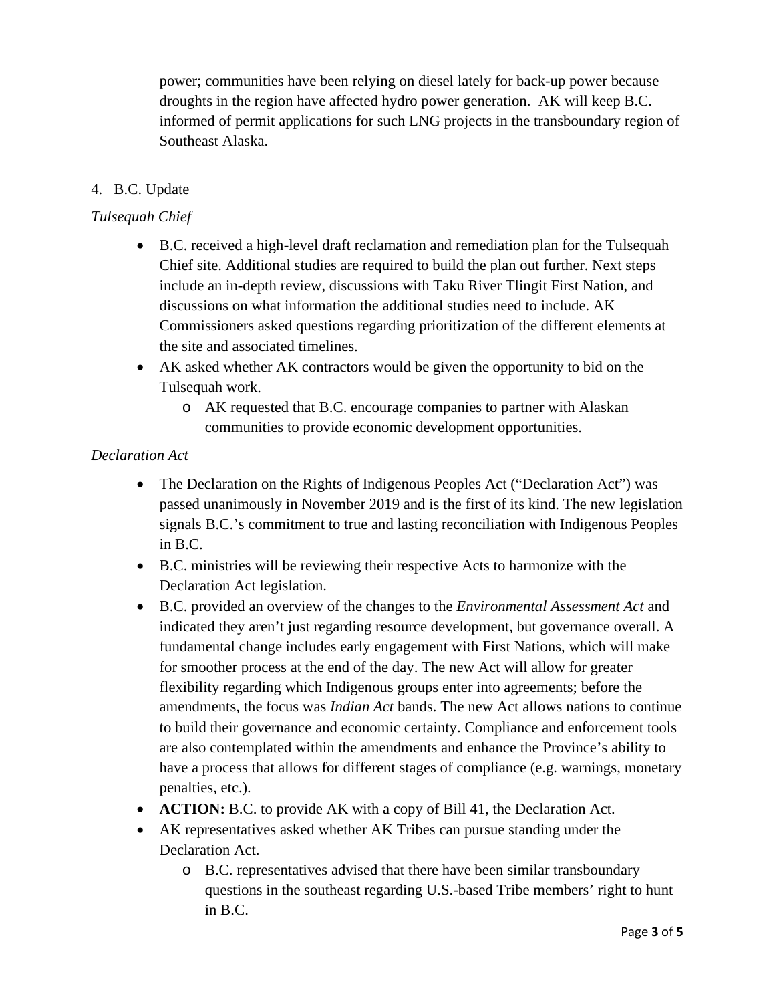power; communities have been relying on diesel lately for back-up power because droughts in the region have affected hydro power generation. AK will keep B.C. informed of permit applications for such LNG projects in the transboundary region of Southeast Alaska.

# 4. B.C. Update

## *Tulsequah Chief*

- B.C. received a high-level draft reclamation and remediation plan for the Tulsequah Chief site. Additional studies are required to build the plan out further. Next steps include an in-depth review, discussions with Taku River Tlingit First Nation, and discussions on what information the additional studies need to include. AK Commissioners asked questions regarding prioritization of the different elements at the site and associated timelines.
- AK asked whether AK contractors would be given the opportunity to bid on the Tulsequah work.
	- o AK requested that B.C. encourage companies to partner with Alaskan communities to provide economic development opportunities.

#### *Declaration Act*

- The Declaration on the Rights of Indigenous Peoples Act ("Declaration Act") was passed unanimously in November 2019 and is the first of its kind. The new legislation signals B.C.'s commitment to true and lasting reconciliation with Indigenous Peoples in B.C.
- B.C. ministries will be reviewing their respective Acts to harmonize with the Declaration Act legislation.
- B.C. provided an overview of the changes to the *Environmental Assessment Act* and indicated they aren't just regarding resource development, but governance overall. A fundamental change includes early engagement with First Nations, which will make for smoother process at the end of the day. The new Act will allow for greater flexibility regarding which Indigenous groups enter into agreements; before the amendments, the focus was *Indian Act* bands. The new Act allows nations to continue to build their governance and economic certainty. Compliance and enforcement tools are also contemplated within the amendments and enhance the Province's ability to have a process that allows for different stages of compliance (e.g. warnings, monetary penalties, etc.).
- **ACTION:** B.C. to provide AK with a copy of Bill 41, the Declaration Act.
- AK representatives asked whether AK Tribes can pursue standing under the Declaration Act.
	- o B.C. representatives advised that there have been similar transboundary questions in the southeast regarding U.S.-based Tribe members' right to hunt in B.C.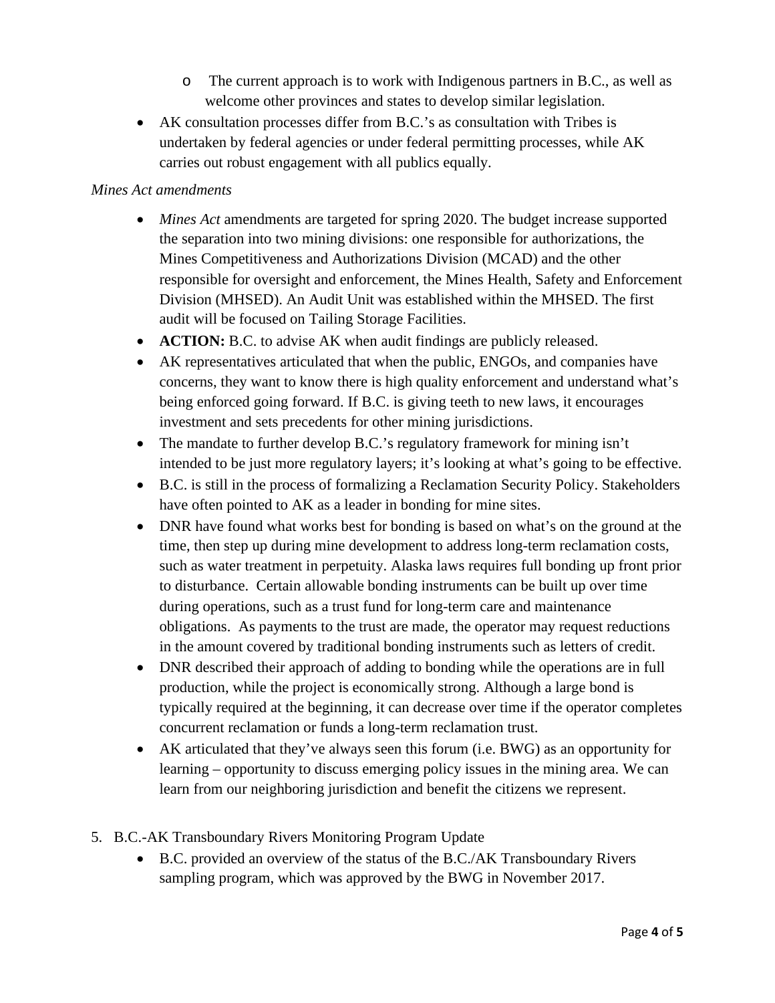- o The current approach is to work with Indigenous partners in B.C., as well as welcome other provinces and states to develop similar legislation.
- AK consultation processes differ from B.C.'s as consultation with Tribes is undertaken by federal agencies or under federal permitting processes, while AK carries out robust engagement with all publics equally.

#### *Mines Act amendments*

- *Mines Act* amendments are targeted for spring 2020. The budget increase supported the separation into two mining divisions: one responsible for authorizations, the Mines Competitiveness and Authorizations Division (MCAD) and the other responsible for oversight and enforcement, the Mines Health, Safety and Enforcement Division (MHSED). An Audit Unit was established within the MHSED. The first audit will be focused on Tailing Storage Facilities.
- **ACTION:** B.C. to advise AK when audit findings are publicly released.
- AK representatives articulated that when the public, ENGOs, and companies have concerns, they want to know there is high quality enforcement and understand what's being enforced going forward. If B.C. is giving teeth to new laws, it encourages investment and sets precedents for other mining jurisdictions.
- The mandate to further develop B.C.'s regulatory framework for mining isn't intended to be just more regulatory layers; it's looking at what's going to be effective.
- B.C. is still in the process of formalizing a Reclamation Security Policy. Stakeholders have often pointed to AK as a leader in bonding for mine sites.
- DNR have found what works best for bonding is based on what's on the ground at the time, then step up during mine development to address long-term reclamation costs, such as water treatment in perpetuity. Alaska laws requires full bonding up front prior to disturbance. Certain allowable bonding instruments can be built up over time during operations, such as a trust fund for long-term care and maintenance obligations. As payments to the trust are made, the operator may request reductions in the amount covered by traditional bonding instruments such as letters of credit.
- DNR described their approach of adding to bonding while the operations are in full production, while the project is economically strong. Although a large bond is typically required at the beginning, it can decrease over time if the operator completes concurrent reclamation or funds a long-term reclamation trust.
- AK articulated that they've always seen this forum (i.e. BWG) as an opportunity for learning – opportunity to discuss emerging policy issues in the mining area. We can learn from our neighboring jurisdiction and benefit the citizens we represent.
- 5. B.C.-AK Transboundary Rivers Monitoring Program Update
	- B.C. provided an overview of the status of the B.C./AK Transboundary Rivers sampling program, which was approved by the BWG in November 2017.